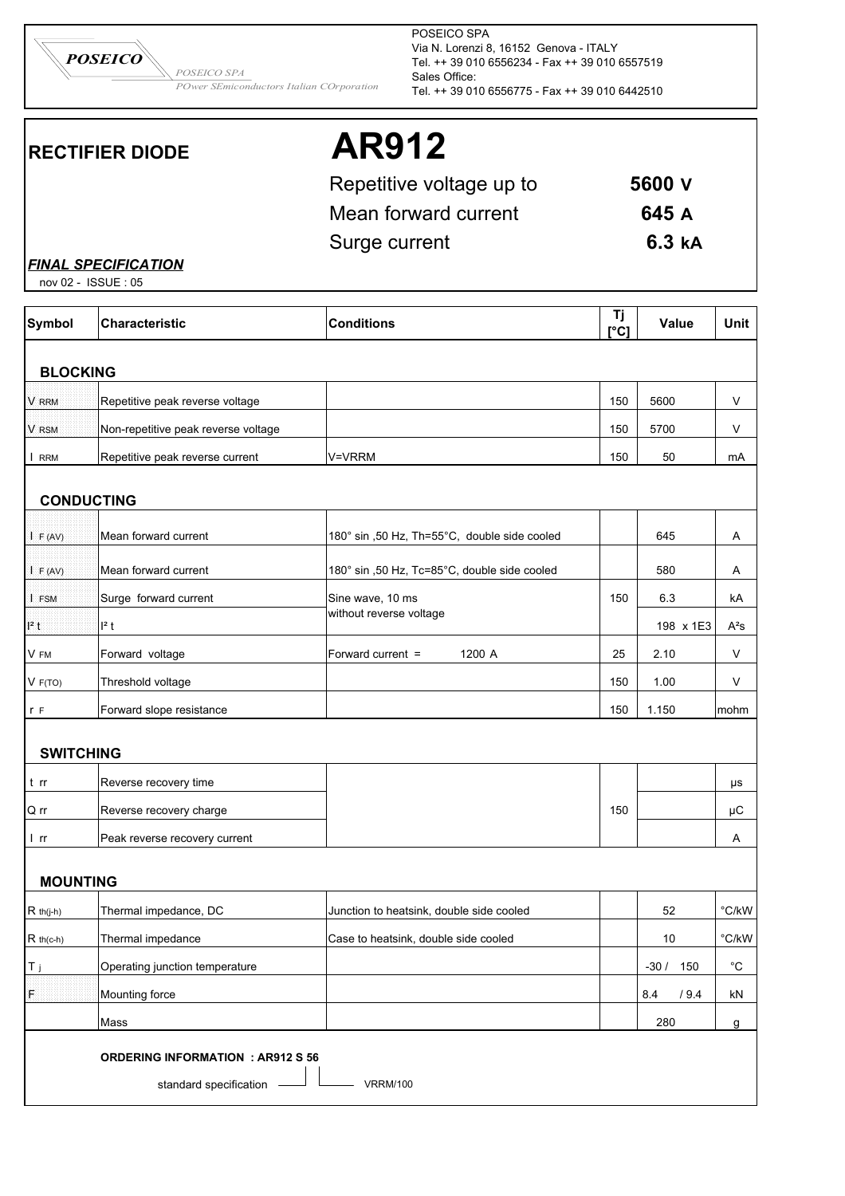*POSEICO SPA POSEICO*

*POwer SEmiconductors Italian COrporation*

POSEICO SPA Via N. Lorenzi 8, 16152 Genova - ITALY Tel. ++ 39 010 6556234 - Fax ++ 39 010 6557519 Sales Office: Tel. ++ 39 010 6556775 - Fax ++ 39 010 6442510

# **RECTIFIER DIODE AR912**

| Repetitive voltage up to | 5600 V |
|--------------------------|--------|
| Mean forward current     | 645 A  |
| Surge current            | 6.3 kA |

*FINAL SPECIFICATION*

| nov 02 - ISSUE: 05 |                                                                    |                                              |            |             |                   |
|--------------------|--------------------------------------------------------------------|----------------------------------------------|------------|-------------|-------------------|
| <b>Symbol</b>      | <b>Characteristic</b>                                              | <b>Conditions</b>                            | Tj<br>[°C] | Value       | Unit              |
| <b>BLOCKING</b>    |                                                                    |                                              |            |             |                   |
| <b>V RRM</b>       | Repetitive peak reverse voltage                                    |                                              | 150        | 5600        | $\vee$            |
| V RSM              | Non-repetitive peak reverse voltage                                |                                              | 150        | 5700        | V                 |
| I RRM              | Repetitive peak reverse current                                    | V=VRRM                                       | 150        | 50          | mA                |
| <b>CONDUCTING</b>  |                                                                    |                                              |            |             |                   |
| I F (AV)           | Mean forward current                                               | 180° sin ,50 Hz, Th=55°C, double side cooled |            | 645         | Α                 |
| F (AV)             | Mean forward current                                               | 180° sin ,50 Hz, Tc=85°C, double side cooled |            | 580         | A                 |
| I FSM              | Surge forward current                                              | Sine wave, 10 ms                             | 150        | 6.3         | kA                |
| $l^2$ t            | $l^2$ t                                                            | without reverse voltage                      |            | 198 x 1E3   | $A^2S$            |
| V FM               | Forward voltage                                                    | 1200 A<br>Forward current =                  | 25         | 2.10        | V                 |
| V F(TO)            | Threshold voltage                                                  |                                              | 150        | 1.00        | V                 |
| r F                | Forward slope resistance                                           |                                              | 150        | 1.150       | mohm              |
| <b>SWITCHING</b>   |                                                                    |                                              |            |             |                   |
| t rr               | Reverse recovery time                                              |                                              |            |             | μs                |
| Q rr               | Reverse recovery charge                                            |                                              | 150        |             | μC                |
| l rr               | Peak reverse recovery current                                      |                                              |            |             | Α                 |
| <b>MOUNTING</b>    |                                                                    |                                              |            |             |                   |
| $R$ th(j-h)        | Thermal impedance, DC                                              | Junction to heatsink, double side cooled     |            | 52          | $^{\circ}$ C/kW   |
| $R$ th(c-h)        | Thermal impedance                                                  | Case to heatsink, double side cooled         |            | 10          | $\mathrm{C/kW}$   |
| T j                | Operating junction temperature                                     |                                              |            | $-30/150$   | $^{\circ}{\rm C}$ |
| F                  | Mounting force                                                     |                                              |            | 8.4<br>/9.4 | kN                |
|                    | Mass                                                               |                                              |            | 280         | g                 |
|                    | <b>ORDERING INFORMATION : AR912 S 56</b><br>standard specification | <b>VRRM/100</b>                              |            |             |                   |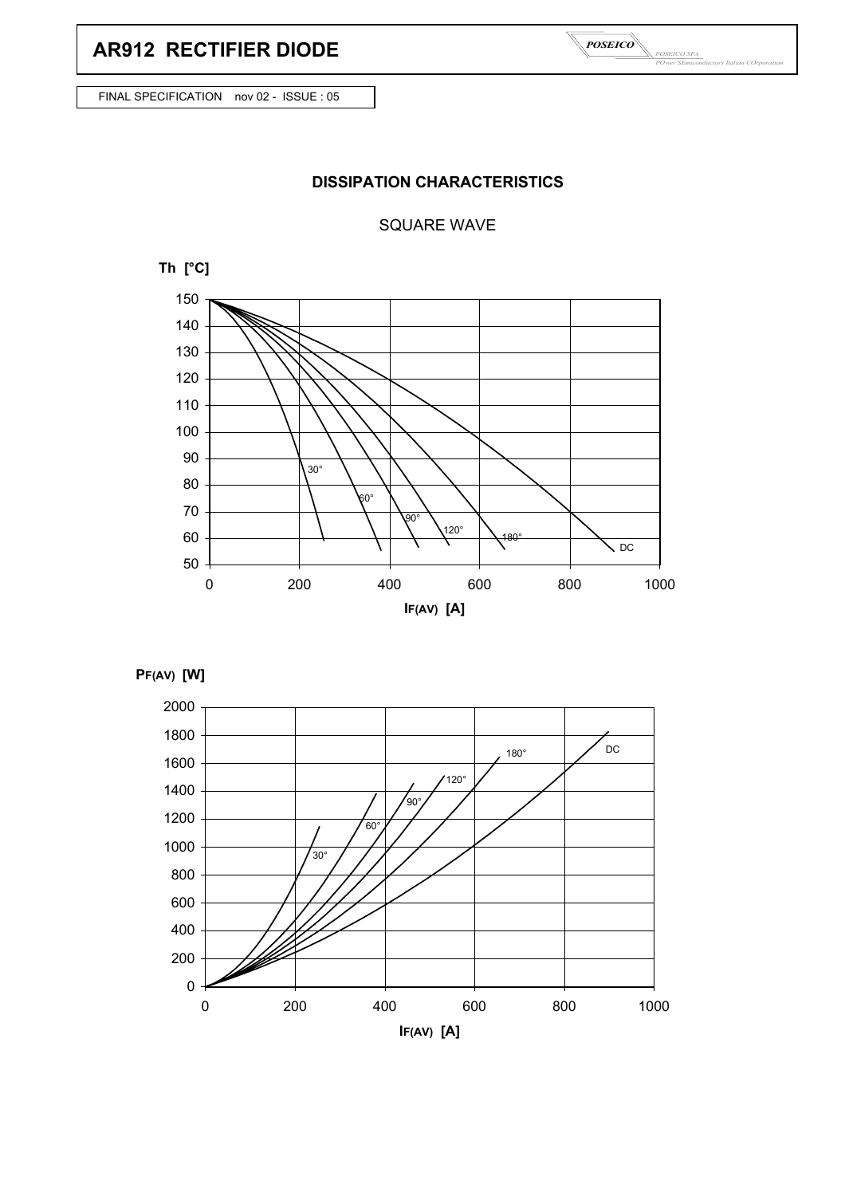# **AR912 RECTIFIER DIODE**

*POSEICO SPA POwer SEmiconductors Italian COrporation POSEICO*

FINAL SPECIFICATION nov 02 - ISSUE : 05

### **DISSIPATION CHARACTERISTICS**

#### SQUARE WAVE





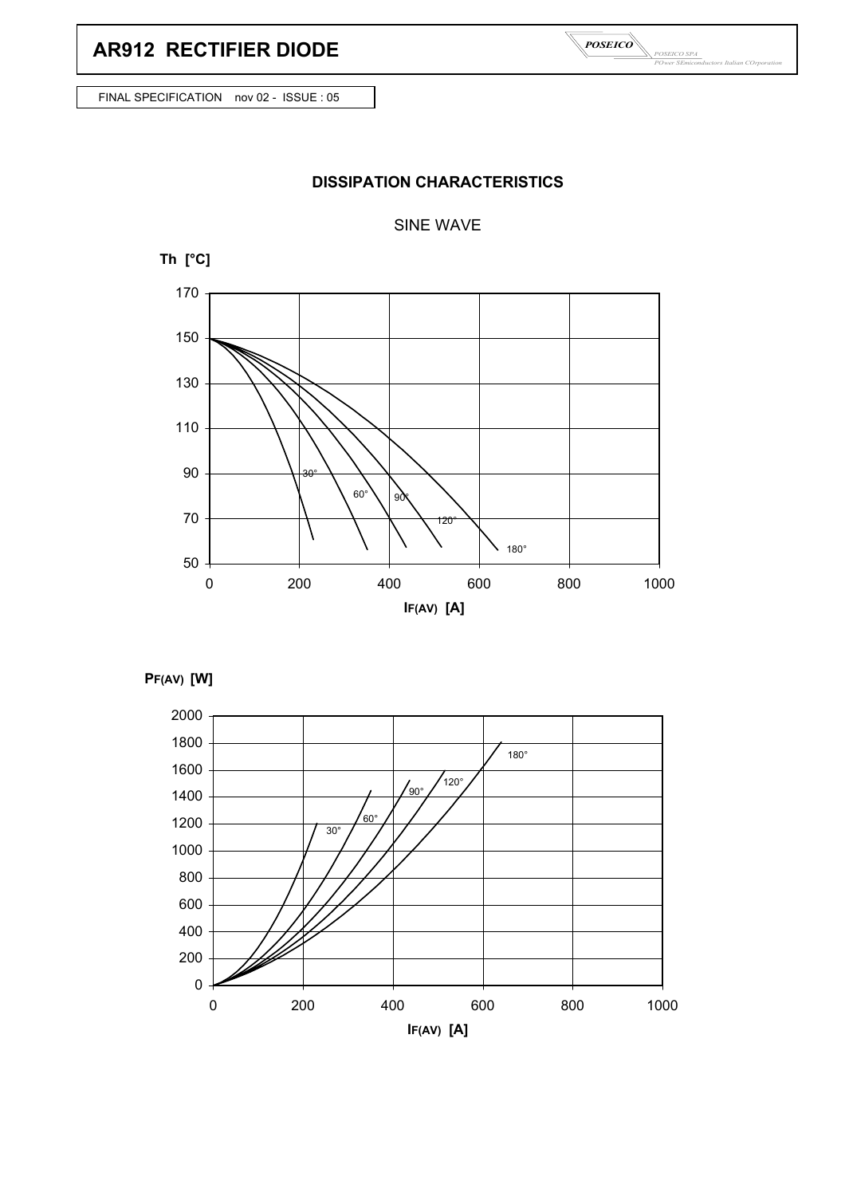## **AR912 RECTIFIER DIODE**

*POSEICO SPA POwer SEmiconductors Italian COrporation POSEICO*

FINAL SPECIFICATION nov 02 - ISSUE : 05

## **DISSIPATION CHARACTERISTICS**